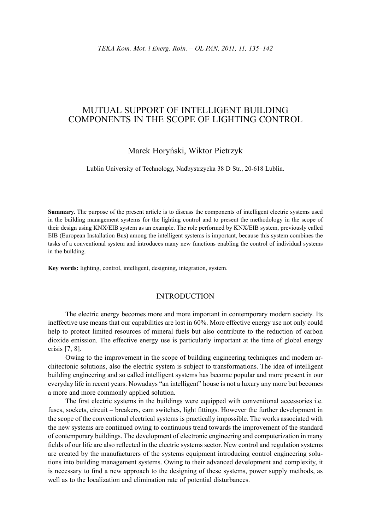# MUTUAL SUPPORT OF INTELLIGENT BUILDING COMPONENTS IN THE SCOPE OF LIGHTING CONTROL

## Marek Horyński, Wiktor Pietrzyk

Lublin University of Technology, Nadbystrzycka 38 D Str., 20-618 Lublin.

**Summary.** The purpose of the present article is to discuss the components of intelligent electric systems used in the building management systems for the lighting control and to present the methodology in the scope of their design using KNX/EIB system as an example. The role performed by KNX/EIB system, previously called EIB (European Installation Bus) among the intelligent systems is important, because this system combines the tasks of a conventional system and introduces many new functions enabling the control of individual systems in the building.

**Key words:** lighting, control, intelligent, designing, integration, system.

## INTRODUCTION

The electric energy becomes more and more important in contemporary modern society. Its ineffective use means that our capabilities are lost in 60%. More effective energy use not only could help to protect limited resources of mineral fuels but also contribute to the reduction of carbon dioxide emission. The effective energy use is particularly important at the time of global energy crisis [7, 8].

Owing to the improvement in the scope of building engineering techniques and modern architectonic solutions, also the electric system is subject to transformations. The idea of intelligent building engineering and so called intelligent systems has become popular and more present in our everyday life in recent years. Nowadays "an intelligent" house is not a luxury any more but becomes a more and more commonly applied solution.

The first electric systems in the buildings were equipped with conventional accessories i.e. fuses, sockets, circuit – breakers, cam switches, light fittings. However the further development in the scope of the conventional electrical systems is practically impossible. The works associated with the new systems are continued owing to continuous trend towards the improvement of the standard of contemporary buildings. The development of electronic engineering and computerization in many fields of our life are also reflected in the electric systems sector. New control and regulation systems are created by the manufacturers of the systems equipment introducing control engineering solutions into building management systems. Owing to their advanced development and complexity, it is necessary to find a new approach to the designing of these systems, power supply methods, as well as to the localization and elimination rate of potential disturbances.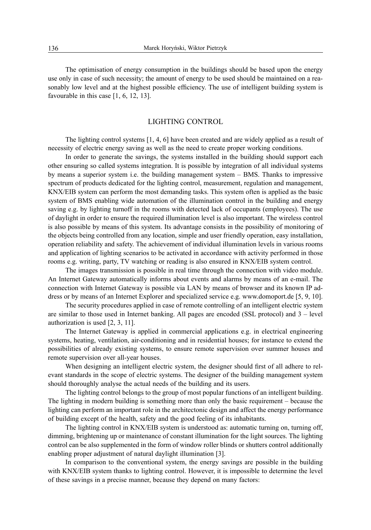The optimisation of energy consumption in the buildings should be based upon the energy use only in case of such necessity; the amount of energy to be used should be maintained on a reasonably low level and at the highest possible efficiency. The use of intelligent building system is favourable in this case [1, 6, 12, 13].

#### LIGHTING CONTROL

The lighting control systems [1, 4, 6] have been created and are widely applied as a result of necessity of electric energy saving as well as the need to create proper working conditions.

In order to generate the savings, the systems installed in the building should support each other ensuring so called systems integration. It is possible by integration of all individual systems by means a superior system i.e. the building management system – BMS. Thanks to impressive spectrum of products dedicated for the lighting control, measurement, regulation and management, KNX/EIB system can perform the most demanding tasks. This system often is applied as the basic system of BMS enabling wide automation of the illumination control in the building and energy saving e.g. by lighting turnoff in the rooms with detected lack of occupants (employees). The use of daylight in order to ensure the required illumination level is also important. The wireless control is also possible by means of this system. Its advantage consists in the possibility of monitoring of the objects being controlled from any location, simple and user friendly operation, easy installation, operation reliability and safety. The achievement of individual illumination levels in various rooms and application of lighting scenarios to be activated in accordance with activity performed in those rooms e.g. writing, party, TV watching or reading is also ensured in KNX/EIB system control.

The images transmission is possible in real time through the connection with video module. An Internet Gateway automatically informs about events and alarms by means of an e-mail. The connection with Internet Gateway is possible via LAN by means of browser and its known IP address or by means of an Internet Explorer and specialized service e.g. www.domoport.de [5, 9, 10].

The security procedures applied in case of remote controlling of an intelligent electric system are similar to those used in Internet banking. All pages are encoded (SSL protocol) and 3 – level authorization is used [2, 3, 11].

The Internet Gateway is applied in commercial applications e.g. in electrical engineering systems, heating, ventilation, air-conditioning and in residential houses; for instance to extend the possibilities of already existing systems, to ensure remote supervision over summer houses and remote supervision over all-year houses.

When designing an intelligent electric system, the designer should first of all adhere to relevant standards in the scope of electric systems. The designer of the building management system should thoroughly analyse the actual needs of the building and its users.

The lighting control belongs to the group of most popular functions of an intelligent building. The lighting in modern building is something more than only the basic requirement – because the lighting can perform an important role in the architectonic design and affect the energy performance of building except of the health, safety and the good feeling of its inhabitants.

The lighting control in KNX/EIB system is understood as: automatic turning on, turning off, dimming, brightening up or maintenance of constant illumination for the light sources. The lighting control can be also supplemented in the form of window roller blinds or shutters control additionally enabling proper adjustment of natural daylight illumination [3].

In comparison to the conventional system, the energy savings are possible in the building with KNX/EIB system thanks to lighting control. However, it is impossible to determine the level of these savings in a precise manner, because they depend on many factors: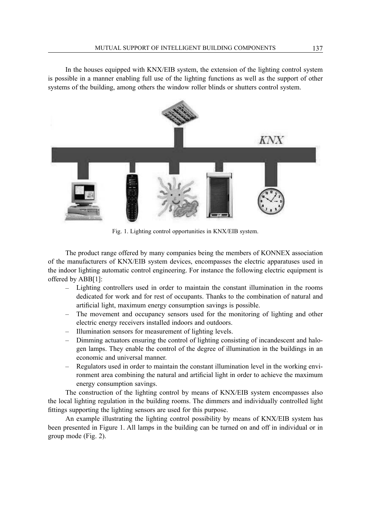In the houses equipped with KNX/EIB system, the extension of the lighting control system is possible in a manner enabling full use of the lighting functions as well as the support of other systems of the building, among others the window roller blinds or shutters control system.



Fig. 1. Lighting control opportunities in KNX/EIB system.

The product range offered by many companies being the members of KONNEX association of the manufacturers of KNX/EIB system devices, encompasses the electric apparatuses used in the indoor lighting automatic control engineering. For instance the following electric equipment is offered by ABB[1]:

- Lighting controllers used in order to maintain the constant illumination in the rooms dedicated for work and for rest of occupants. Thanks to the combination of natural and artificial light, maximum energy consumption savings is possible.
- The movement and occupancy sensors used for the monitoring of lighting and other electric energy receivers installed indoors and outdoors.
- Illumination sensors for measurement of lighting levels.
- Dimming actuators ensuring the control of lighting consisting of incandescent and halogen lamps. They enable the control of the degree of illumination in the buildings in an economic and universal manner.
- Regulators used in order to maintain the constant illumination level in the working environment area combining the natural and artificial light in order to achieve the maximum energy consumption savings.

The construction of the lighting control by means of KNX/EIB system encompasses also the local lighting regulation in the building rooms. The dimmers and individually controlled light fittings supporting the lighting sensors are used for this purpose.

An example illustrating the lighting control possibility by means of KNX/EIB system has been presented in Figure 1. All lamps in the building can be turned on and off in individual or in group mode (Fig. 2).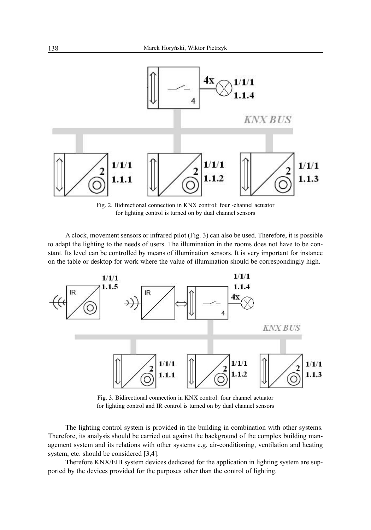

Fig. 2. Bidirectional connection in KNX control: four -channel actuator for lighting control is turned on by dual channel sensors

A clock, movement sensors or infrared pilot (Fig. 3) can also be used. Therefore, it is possible to adapt the lighting to the needs of users. The illumination in the rooms does not have to be constant. Its level can be controlled by means of illumination sensors. It is very important for instance on the table or desktop for work where the value of illumination should be correspondingly high.



Fig. 3. Bidirectional connection in KNX control: four channel actuator for lighting control and IR control is turned on by dual channel sensors

The lighting control system is provided in the building in combination with other systems. Therefore, its analysis should be carried out against the background of the complex building management system and its relations with other systems e.g. air-conditioning, ventilation and heating system, etc. should be considered [3,4].

Therefore KNX/EIB system devices dedicated for the application in lighting system are supported by the devices provided for the purposes other than the control of lighting.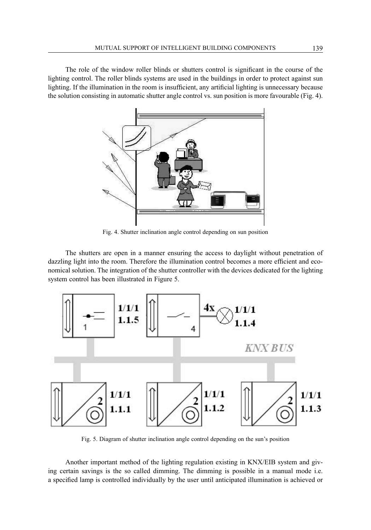The role of the window roller blinds or shutters control is significant in the course of the lighting control. The roller blinds systems are used in the buildings in order to protect against sun lighting. If the illumination in the room is insufficient, any artificial lighting is unnecessary because the solution consisting in automatic shutter angle control vs. sun position is more favourable (Fig. 4).



Fig. 4. Shutter inclination angle control depending on sun position

The shutters are open in a manner ensuring the access to daylight without penetration of dazzling light into the room. Therefore the illumination control becomes a more efficient and economical solution. The integration of the shutter controller with the devices dedicated for the lighting system control has been illustrated in Figure 5.



Fig. 5. Diagram of shutter inclination angle control depending on the sun's position

Another important method of the lighting regulation existing in KNX/EIB system and giving certain savings is the so called dimming. The dimming is possible in a manual mode i.e. a specified lamp is controlled individually by the user until anticipated illumination is achieved or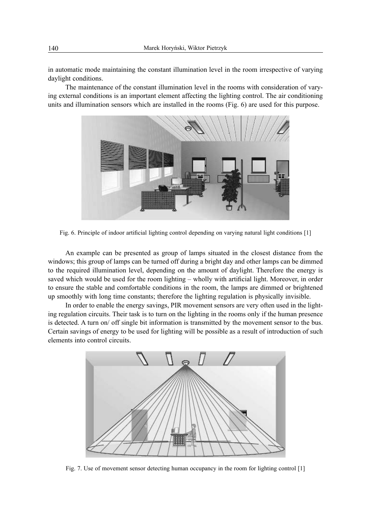in automatic mode maintaining the constant illumination level in the room irrespective of varying daylight conditions.

The maintenance of the constant illumination level in the rooms with consideration of varying external conditions is an important element affecting the lighting control. The air conditioning units and illumination sensors which are installed in the rooms (Fig. 6) are used for this purpose.



Fig. 6. Principle of indoor artificial lighting control depending on varying natural light conditions [1]

An example can be presented as group of lamps situated in the closest distance from the windows; this group of lamps can be turned off during a bright day and other lamps can be dimmed to the required illumination level, depending on the amount of daylight. Therefore the energy is saved which would be used for the room lighting – wholly with artificial light. Moreover, in order to ensure the stable and comfortable conditions in the room, the lamps are dimmed or brightened up smoothly with long time constants; therefore the lighting regulation is physically invisible.

In order to enable the energy savings, PIR movement sensors are very often used in the lighting regulation circuits. Their task is to turn on the lighting in the rooms only if the human presence is detected. A turn on/ off single bit information is transmitted by the movement sensor to the bus. Certain savings of energy to be used for lighting will be possible as a result of introduction of such elements into control circuits.



Fig. 7. Use of movement sensor detecting human occupancy in the room for lighting control [1]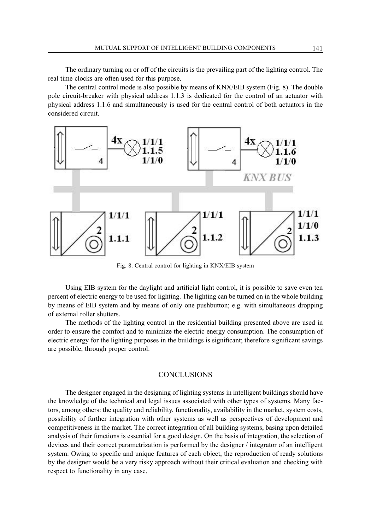The ordinary turning on or off of the circuits is the prevailing part of the lighting control. The real time clocks are often used for this purpose.

The central control mode is also possible by means of KNX/EIB system (Fig. 8). The double pole circuit-breaker with physical address 1.1.3 is dedicated for the control of an actuator with physical address 1.1.6 and simultaneously is used for the central control of both actuators in the considered circuit.



Fig. 8. Central control for lighting in KNX/EIB system

Using EIB system for the daylight and artificial light control, it is possible to save even ten percent of electric energy to be used for lighting. The lighting can be turned on in the whole building by means of EIB system and by means of only one pushbutton; e.g. with simultaneous dropping of external roller shutters.

The methods of the lighting control in the residential building presented above are used in order to ensure the comfort and to minimize the electric energy consumption. The consumption of electric energy for the lighting purposes in the buildings is significant; therefore significant savings are possible, through proper control.

### **CONCLUSIONS**

The designer engaged in the designing of lighting systems in intelligent buildings should have the knowledge of the technical and legal issues associated with other types of systems. Many factors, among others: the quality and reliability, functionality, availability in the market, system costs, possibility of further integration with other systems as well as perspectives of development and competitiveness in the market. The correct integration of all building systems, basing upon detailed analysis of their functions is essential for a good design. On the basis of integration, the selection of devices and their correct parametrization is performed by the designer / integrator of an intelligent system. Owing to specific and unique features of each object, the reproduction of ready solutions by the designer would be a very risky approach without their critical evaluation and checking with respect to functionality in any case.